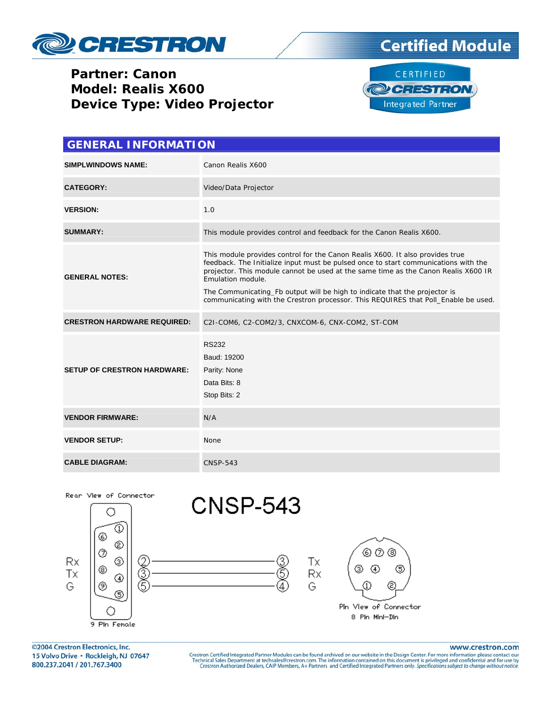





| <b>GENERAL INFORMATION</b>         |                                                                                                                                                                                                                                                                                                                                                                                                                                                     |  |  |  |
|------------------------------------|-----------------------------------------------------------------------------------------------------------------------------------------------------------------------------------------------------------------------------------------------------------------------------------------------------------------------------------------------------------------------------------------------------------------------------------------------------|--|--|--|
| <b>SIMPLWINDOWS NAME:</b>          | Canon Realis X600                                                                                                                                                                                                                                                                                                                                                                                                                                   |  |  |  |
| <b>CATEGORY:</b>                   | Video/Data Projector                                                                                                                                                                                                                                                                                                                                                                                                                                |  |  |  |
| <b>VERSION:</b>                    | 1.0                                                                                                                                                                                                                                                                                                                                                                                                                                                 |  |  |  |
| <b>SUMMARY:</b>                    | This module provides control and feedback for the Canon Realis X600.                                                                                                                                                                                                                                                                                                                                                                                |  |  |  |
| <b>GENERAL NOTES:</b>              | This module provides control for the Canon Realis X600. It also provides true<br>feedback. The Initialize input must be pulsed once to start communications with the<br>projector. This module cannot be used at the same time as the Canon Realis X600 IR<br>Emulation module.<br>The Communicating_Fb output will be high to indicate that the projector is<br>communicating with the Crestron processor. This REQUIRES that Poll_Enable be used. |  |  |  |
| <b>CRESTRON HARDWARE REQUIRED:</b> | C2I-COM6, C2-COM2/3, CNXCOM-6, CNX-COM2, ST-COM                                                                                                                                                                                                                                                                                                                                                                                                     |  |  |  |
| <b>SETUP OF CRESTRON HARDWARE:</b> | <b>RS232</b><br>Baud: 19200<br>Parity: None<br>Data Bits: 8<br>Stop Bits: 2                                                                                                                                                                                                                                                                                                                                                                         |  |  |  |
| <b>VENDOR FIRMWARE:</b>            | N/A                                                                                                                                                                                                                                                                                                                                                                                                                                                 |  |  |  |
| <b>VENDOR SETUP:</b>               | None                                                                                                                                                                                                                                                                                                                                                                                                                                                |  |  |  |
| <b>CABLE DIAGRAM:</b>              | <b>CNSP-543</b>                                                                                                                                                                                                                                                                                                                                                                                                                                     |  |  |  |



©2004 Crestron Electronics, Inc. 15 Volvo Drive · Rockleigh, NJ 07647 800.237.2041 / 201.767.3400

#### www.crestron.com

Crestron Certified Integrated Partner Modules can be found archived on our website in the Design Center. For more information please contact our Technical Sales Department at techsales@crestron.com. The information contain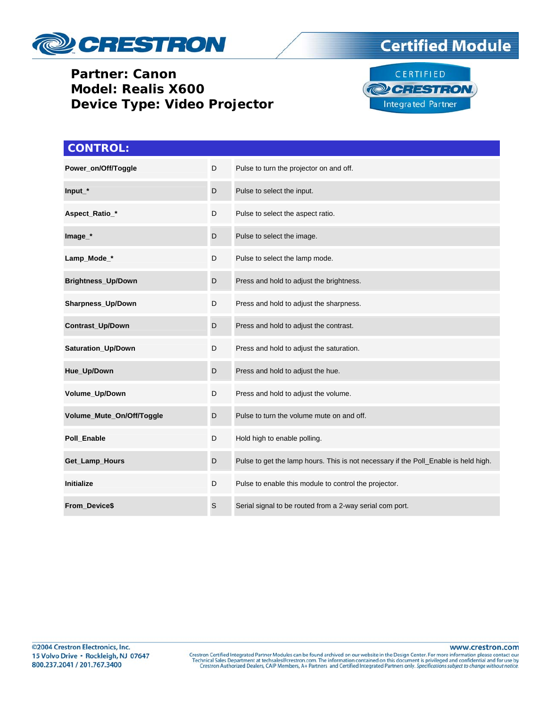





| <b>CONTROL:</b>           |             |                                                                                     |
|---------------------------|-------------|-------------------------------------------------------------------------------------|
| Power_on/Off/Toggle       | D           | Pulse to turn the projector on and off.                                             |
| $Input_$                  | D           | Pulse to select the input.                                                          |
| Aspect_Ratio_*            | D           | Pulse to select the aspect ratio.                                                   |
| Image_*                   | D           | Pulse to select the image.                                                          |
| Lamp_Mode_*               | D           | Pulse to select the lamp mode.                                                      |
| Brightness_Up/Down        | D           | Press and hold to adjust the brightness.                                            |
| Sharpness_Up/Down         | D           | Press and hold to adjust the sharpness.                                             |
| Contrast_Up/Down          | D           | Press and hold to adjust the contrast.                                              |
| Saturation_Up/Down        | D           | Press and hold to adjust the saturation.                                            |
| Hue_Up/Down               | D           | Press and hold to adjust the hue.                                                   |
| Volume_Up/Down            | D           | Press and hold to adjust the volume.                                                |
| Volume_Mute_On/Off/Toggle | D           | Pulse to turn the volume mute on and off.                                           |
| Poll_Enable               | D           | Hold high to enable polling.                                                        |
| Get_Lamp_Hours            | D           | Pulse to get the lamp hours. This is not necessary if the Poll_Enable is held high. |
| <b>Initialize</b>         | D           | Pulse to enable this module to control the projector.                               |
| From_Device\$             | $\mathsf S$ | Serial signal to be routed from a 2-way serial com port.                            |

www.crestron.com

Crestron Certified Integrated Partner Modules can be found archived on our website in the Design Center. For more information please contact our Technical Sales Department at techsales@crestron.com. The information contain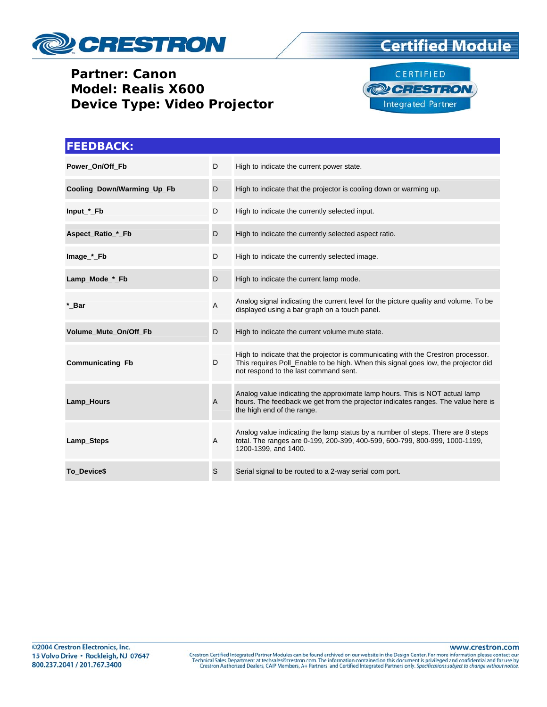





| <b>FEEDBACK:</b>           |                |                                                                                                                                                                                                                  |
|----------------------------|----------------|------------------------------------------------------------------------------------------------------------------------------------------------------------------------------------------------------------------|
| Power_On/Off_Fb            | D              | High to indicate the current power state.                                                                                                                                                                        |
| Cooling_Down/Warming_Up_Fb | D              | High to indicate that the projector is cooling down or warming up.                                                                                                                                               |
| Input_*_Fb                 | D              | High to indicate the currently selected input.                                                                                                                                                                   |
| Aspect_Ratio_*_Fb          | D              | High to indicate the currently selected aspect ratio.                                                                                                                                                            |
| Image_*_Fb                 | D              | High to indicate the currently selected image.                                                                                                                                                                   |
| Lamp_Mode_*_Fb             | D              | High to indicate the current lamp mode.                                                                                                                                                                          |
| * Bar                      | A              | Analog signal indicating the current level for the picture quality and volume. To be<br>displayed using a bar graph on a touch panel.                                                                            |
| Volume Mute On/Off Fb      | D              | High to indicate the current volume mute state.                                                                                                                                                                  |
| Communicating_Fb           | D              | High to indicate that the projector is communicating with the Crestron processor.<br>This requires Poll_Enable to be high. When this signal goes low, the projector did<br>not respond to the last command sent. |
| Lamp_Hours                 | $\overline{A}$ | Analog value indicating the approximate lamp hours. This is NOT actual lamp<br>hours. The feedback we get from the projector indicates ranges. The value here is<br>the high end of the range.                   |
| Lamp_Steps                 | A              | Analog value indicating the lamp status by a number of steps. There are 8 steps<br>total. The ranges are 0-199, 200-399, 400-599, 600-799, 800-999, 1000-1199,<br>1200-1399, and 1400.                           |
| To Device\$                | S              | Serial signal to be routed to a 2-way serial com port.                                                                                                                                                           |

www.crestron.com

Crestron Certified Integrated Partner Modules can be found archived on our website in the Design Center. For more information please contact our Technical Sales Department at techsales@crestron.com. The information contain